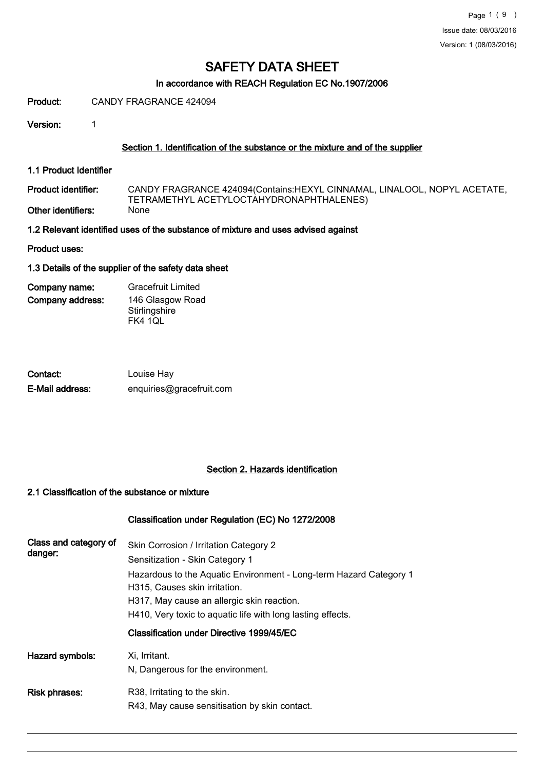## In accordance with REACH Regulation EC No.1907/2006

Product: CANDY FRAGRANCE 424094

Version: 1

### Section 1. Identification of the substance or the mixture and of the supplier

1.1 Product Identifier

CANDY FRAGRANCE 424094(Contains:HEXYL CINNAMAL, LINALOOL, NOPYL ACETATE, TETRAMETHYL ACETYLOCTAHYDRONAPHTHALENES)<br>None Product identifier: Other identifiers:

1.2 Relevant identified uses of the substance of mixture and uses advised against

Product uses:

### 1.3 Details of the supplier of the safety data sheet

Company address: Company name: Gracefruit Limited 146 Glasgow Road **Stirlingshire** FK4 1QL

| Contact:        | Louise Hay               |
|-----------------|--------------------------|
| E-Mail address: | enquiries@gracefruit.com |

## Section 2. Hazards identification

### 2.1 Classification of the substance or mixture

|                       | Classification under Regulation (EC) No 1272/2008                                                   |
|-----------------------|-----------------------------------------------------------------------------------------------------|
| Class and category of | Skin Corrosion / Irritation Category 2                                                              |
| danger:               | Sensitization - Skin Category 1                                                                     |
|                       | Hazardous to the Aquatic Environment - Long-term Hazard Category 1<br>H315. Causes skin irritation. |
|                       | H317, May cause an allergic skin reaction.                                                          |
|                       | H410, Very toxic to aquatic life with long lasting effects.                                         |
|                       | Classification under Directive 1999/45/EC                                                           |
| Hazard symbols:       | Xi, Irritant.                                                                                       |
|                       | N, Dangerous for the environment.                                                                   |
| <b>Risk phrases:</b>  | R38, Irritating to the skin.                                                                        |
|                       | R43, May cause sensitisation by skin contact.                                                       |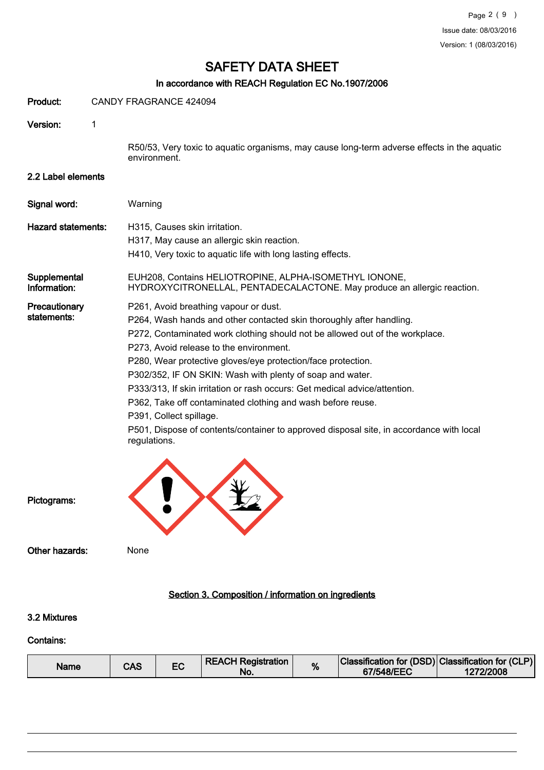# In accordance with REACH Regulation EC No.1907/2006

| Product:                     |   | CANDY FRAGRANCE 424094                                                                                                                                                                                                                                                                                                                                                                                                                                                                                                                                                                                                                                   |
|------------------------------|---|----------------------------------------------------------------------------------------------------------------------------------------------------------------------------------------------------------------------------------------------------------------------------------------------------------------------------------------------------------------------------------------------------------------------------------------------------------------------------------------------------------------------------------------------------------------------------------------------------------------------------------------------------------|
| Version:                     | 1 |                                                                                                                                                                                                                                                                                                                                                                                                                                                                                                                                                                                                                                                          |
|                              |   | R50/53, Very toxic to aquatic organisms, may cause long-term adverse effects in the aquatic<br>environment.                                                                                                                                                                                                                                                                                                                                                                                                                                                                                                                                              |
| 2.2 Label elements           |   |                                                                                                                                                                                                                                                                                                                                                                                                                                                                                                                                                                                                                                                          |
| Signal word:                 |   | Warning                                                                                                                                                                                                                                                                                                                                                                                                                                                                                                                                                                                                                                                  |
| <b>Hazard statements:</b>    |   | H315, Causes skin irritation.<br>H317, May cause an allergic skin reaction.<br>H410, Very toxic to aquatic life with long lasting effects.                                                                                                                                                                                                                                                                                                                                                                                                                                                                                                               |
| Supplemental<br>Information: |   | EUH208, Contains HELIOTROPINE, ALPHA-ISOMETHYL IONONE,<br>HYDROXYCITRONELLAL, PENTADECALACTONE. May produce an allergic reaction.                                                                                                                                                                                                                                                                                                                                                                                                                                                                                                                        |
| Precautionary<br>statements: |   | P261, Avoid breathing vapour or dust.<br>P264, Wash hands and other contacted skin thoroughly after handling.<br>P272, Contaminated work clothing should not be allowed out of the workplace.<br>P273, Avoid release to the environment.<br>P280, Wear protective gloves/eye protection/face protection.<br>P302/352, IF ON SKIN: Wash with plenty of soap and water.<br>P333/313, If skin irritation or rash occurs: Get medical advice/attention.<br>P362, Take off contaminated clothing and wash before reuse.<br>P391, Collect spillage.<br>P501, Dispose of contents/container to approved disposal site, in accordance with local<br>regulations. |
| Pictograms:                  |   |                                                                                                                                                                                                                                                                                                                                                                                                                                                                                                                                                                                                                                                          |
| Other hazards:               |   | None                                                                                                                                                                                                                                                                                                                                                                                                                                                                                                                                                                                                                                                     |
|                              |   | Section 3. Composition / information on ingredients                                                                                                                                                                                                                                                                                                                                                                                                                                                                                                                                                                                                      |
| 3.2 Mixtures                 |   |                                                                                                                                                                                                                                                                                                                                                                                                                                                                                                                                                                                                                                                          |
| <b>Contains:</b>             |   |                                                                                                                                                                                                                                                                                                                                                                                                                                                                                                                                                                                                                                                          |

| Name | CAS |  | <b>REACH Registration</b><br>NO. | % | Classification for (DSD) Classification for (CLP)<br>67/548/EEC | 1272/2008 |
|------|-----|--|----------------------------------|---|-----------------------------------------------------------------|-----------|
|------|-----|--|----------------------------------|---|-----------------------------------------------------------------|-----------|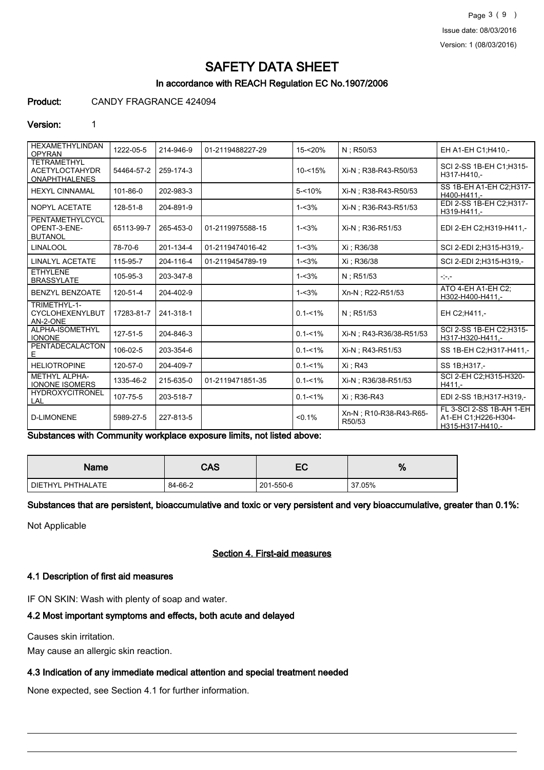Page 3 ( 9 ) Issue date: 08/03/2016 Version: 1 (08/03/2016)

# SAFETY DATA SHEET

# In accordance with REACH Regulation EC No.1907/2006

### Product: CANDY FRAGRANCE 424094

#### Version: 1

| <b>HEXAMETHYLINDAN</b><br><b>OPYRAN</b>                             | 1222-05-5  | 214-946-9 | 01-2119488227-29 | $15 - 20%$  | N ; R50/53                        | EH A1-EH C1; H410,-                                                 |
|---------------------------------------------------------------------|------------|-----------|------------------|-------------|-----------------------------------|---------------------------------------------------------------------|
| <b>TETRAMETHYL</b><br><b>ACETYLOCTAHYDR</b><br><b>ONAPHTHALENES</b> | 54464-57-2 | 259-174-3 |                  | $10 - 15%$  | Xi-N : R38-R43-R50/53             | SCI 2-SS 1B-EH C1:H315-<br>H317-H410 .-                             |
| <b>HEXYL CINNAMAL</b>                                               | 101-86-0   | 202-983-3 |                  | $5 - 10%$   | Xi-N ; R38-R43-R50/53             | SS 1B-EH A1-EH C2:H317-<br>H400-H411.-                              |
| NOPYL ACETATE                                                       | 128-51-8   | 204-891-9 |                  | $1 - 3%$    | Xi-N : R36-R43-R51/53             | EDI 2-SS 1B-EH C2;H317-<br>H319-H411,-                              |
| PENTAMETHYLCYCL<br>OPENT-3-ENE-<br><b>BUTANOL</b>                   | 65113-99-7 | 265-453-0 | 01-2119975588-15 | $1 - 3%$    | Xi-N; R36-R51/53                  | EDI 2-EH C2:H319-H411,-                                             |
| <b>LINALOOL</b>                                                     | 78-70-6    | 201-134-4 | 01-2119474016-42 | $1 - 3%$    | Xi : R36/38                       | SCI 2-EDI 2:H315-H319,-                                             |
| <b>LINALYL ACETATE</b>                                              | 115-95-7   | 204-116-4 | 01-2119454789-19 | $1 - 3%$    | Xi: R36/38                        | SCI 2-EDI 2:H315-H319.-                                             |
| <b>ETHYLENE</b><br><b>BRASSYLATE</b>                                | 105-95-3   | 203-347-8 |                  | $1 - 3%$    | $N:$ R51/53                       | $-,-,-$                                                             |
| <b>BENZYL BENZOATE</b>                                              | 120-51-4   | 204-402-9 |                  | $1 - 3%$    | Xn-N ; R22-R51/53                 | ATO 4-EH A1-EH C2:<br>H302-H400-H411,-                              |
| TRIMETHYL-1-<br>CYCLOHEXENYLBUT<br>AN-2-ONE                         | 17283-81-7 | 241-318-1 |                  | $0.1 - 1\%$ | $N:$ R51/53                       | EH C2:H411.-                                                        |
| ALPHA-ISOMETHYL<br><b>IONONE</b>                                    | 127-51-5   | 204-846-3 |                  | $0.1 - 1\%$ | Xi-N: R43-R36/38-R51/53           | SCI 2-SS 1B-EH C2;H315-<br>H317-H320-H411.-                         |
| <b>PENTADECALACTON</b><br>Е                                         | 106-02-5   | 203-354-6 |                  | $0.1 - 1\%$ | Xi-N: R43-R51/53                  | SS 1B-EH C2; H317-H411,-                                            |
| <b>HELIOTROPINE</b>                                                 | 120-57-0   | 204-409-7 |                  | $0.1 - 1\%$ | Xi: R43                           | SS 1B:H317,-                                                        |
| <b>METHYL ALPHA-</b><br><b>IONONE ISOMERS</b>                       | 1335-46-2  | 215-635-0 | 01-2119471851-35 | $0.1 - 1\%$ | Xi-N; R36/38-R51/53               | SCI 2-EH C2;H315-H320-<br>$H411. -$                                 |
| <b>HYDROXYCITRONEL</b><br>LAL                                       | 107-75-5   | 203-518-7 |                  | $0.1 - 1\%$ | Xi : R36-R43                      | EDI 2-SS 1B:H317-H319,-                                             |
| <b>D-LIMONENE</b>                                                   | 5989-27-5  | 227-813-5 |                  | $< 0.1\%$   | Xn-N : R10-R38-R43-R65-<br>R50/53 | FL 3-SCI 2-SS 1B-AH 1-EH<br>A1-EH C1;H226-H304-<br>H315-H317-H410,- |

Substances with Community workplace exposure limits, not listed above:

| <b>Name</b>         | CAS     | EC        | %      |
|---------------------|---------|-----------|--------|
| I DIETHYL PHTHALATE | 84-66-2 | 201-550-6 | 37.05% |

Substances that are persistent, bioaccumulative and toxic or very persistent and very bioaccumulative, greater than 0.1%:

Not Applicable

## Section 4. First-aid measures

### 4.1 Description of first aid measures

IF ON SKIN: Wash with plenty of soap and water.

# 4.2 Most important symptoms and effects, both acute and delayed

Causes skin irritation.

May cause an allergic skin reaction.

#### 4.3 Indication of any immediate medical attention and special treatment needed

None expected, see Section 4.1 for further information.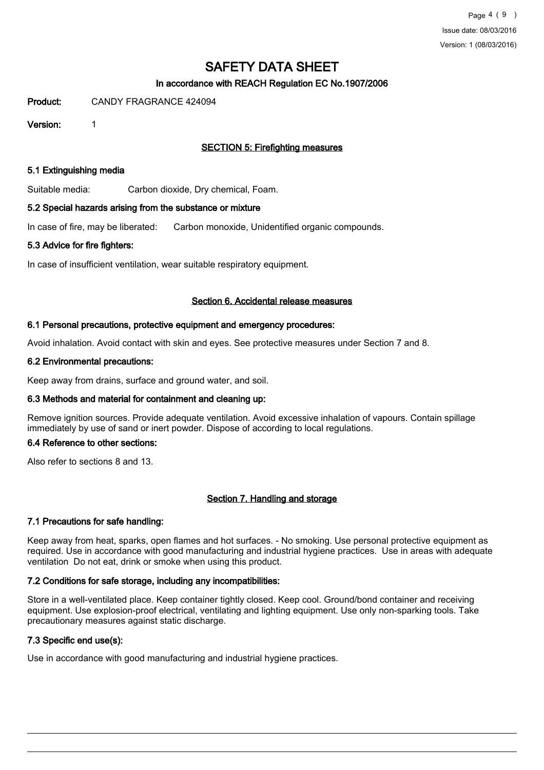# In accordance with REACH Regulation EC No.1907/2006

Product: CANDY FRAGRANCE 424094

Version: 1

# SECTION 5: Firefighting measures

### 5.1 Extinguishing media

Suitable media: Carbon dioxide, Dry chemical, Foam.

### 5.2 Special hazards arising from the substance or mixture

In case of fire, may be liberated: Carbon monoxide, Unidentified organic compounds.

### 5.3 Advice for fire fighters:

In case of insufficient ventilation, wear suitable respiratory equipment.

### Section 6. Accidental release measures

### 6.1 Personal precautions, protective equipment and emergency procedures:

Avoid inhalation. Avoid contact with skin and eyes. See protective measures under Section 7 and 8.

### 6.2 Environmental precautions:

Keep away from drains, surface and ground water, and soil.

## 6.3 Methods and material for containment and cleaning up:

Remove ignition sources. Provide adequate ventilation. Avoid excessive inhalation of vapours. Contain spillage immediately by use of sand or inert powder. Dispose of according to local regulations.

#### 6.4 Reference to other sections:

Also refer to sections 8 and 13.

## Section 7. Handling and storage

## 7.1 Precautions for safe handling:

Keep away from heat, sparks, open flames and hot surfaces. - No smoking. Use personal protective equipment as required. Use in accordance with good manufacturing and industrial hygiene practices. Use in areas with adequate ventilation Do not eat, drink or smoke when using this product.

## 7.2 Conditions for safe storage, including any incompatibilities:

Store in a well-ventilated place. Keep container tightly closed. Keep cool. Ground/bond container and receiving equipment. Use explosion-proof electrical, ventilating and lighting equipment. Use only non-sparking tools. Take precautionary measures against static discharge.

## 7.3 Specific end use(s):

Use in accordance with good manufacturing and industrial hygiene practices.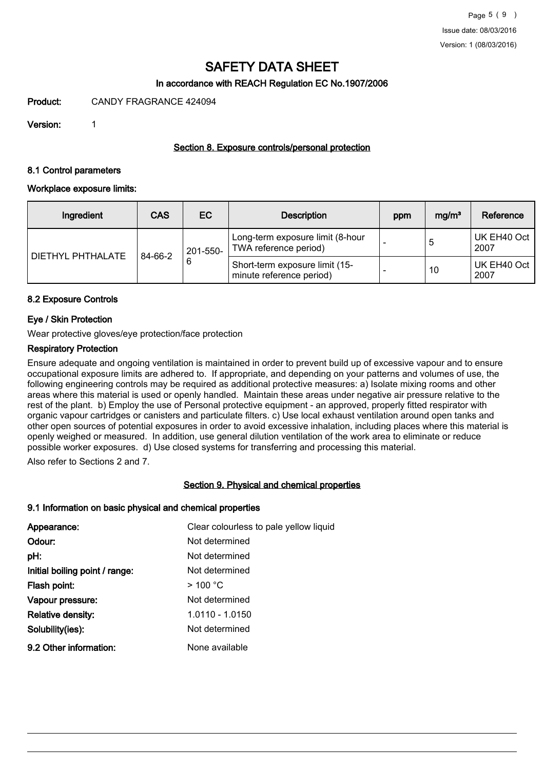# In accordance with REACH Regulation EC No.1907/2006

Product: CANDY FRAGRANCE 424094

Version: 1

## Section 8. Exposure controls/personal protection

### 8.1 Control parameters

### Workplace exposure limits:

| Ingredient        | <b>CAS</b> | EC            | <b>Description</b>                                         |  | mg/m <sup>3</sup> | Reference           |
|-------------------|------------|---------------|------------------------------------------------------------|--|-------------------|---------------------|
| DIETHYL PHTHALATE | 84-66-2    | 201-550-<br>6 | Long-term exposure limit (8-hour<br>TWA reference period)  |  | 5                 | UK EH40 Oct<br>2007 |
|                   |            |               | Short-term exposure limit (15-<br>minute reference period) |  | 10                | UK EH40 Oct<br>2007 |

### 8.2 Exposure Controls

## Eye / Skin Protection

Wear protective gloves/eye protection/face protection

### Respiratory Protection

Ensure adequate and ongoing ventilation is maintained in order to prevent build up of excessive vapour and to ensure occupational exposure limits are adhered to. If appropriate, and depending on your patterns and volumes of use, the following engineering controls may be required as additional protective measures: a) Isolate mixing rooms and other areas where this material is used or openly handled. Maintain these areas under negative air pressure relative to the rest of the plant. b) Employ the use of Personal protective equipment - an approved, properly fitted respirator with organic vapour cartridges or canisters and particulate filters. c) Use local exhaust ventilation around open tanks and other open sources of potential exposures in order to avoid excessive inhalation, including places where this material is openly weighed or measured. In addition, use general dilution ventilation of the work area to eliminate or reduce possible worker exposures. d) Use closed systems for transferring and processing this material.

Also refer to Sections 2 and 7.

## Section 9. Physical and chemical properties

#### 9.1 Information on basic physical and chemical properties

| Appearance:                    | Clear colourless to pale yellow liquid |
|--------------------------------|----------------------------------------|
| Odour:                         | Not determined                         |
| pH:                            | Not determined                         |
| Initial boiling point / range: | Not determined                         |
| Flash point:                   | $>$ 100 °C                             |
| Vapour pressure:               | Not determined                         |
| <b>Relative density:</b>       | 1.0110 - 1.0150                        |
| Solubility(ies):               | Not determined                         |
| 9.2 Other information:         | None available                         |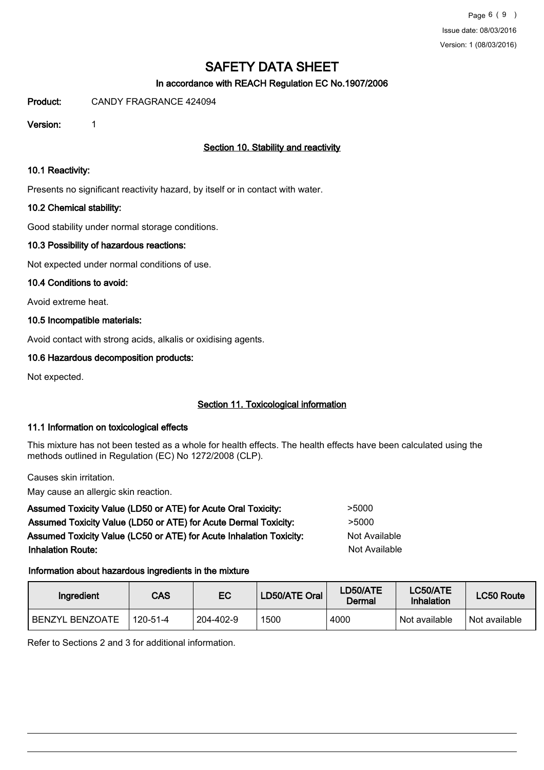# In accordance with REACH Regulation EC No.1907/2006

Product: CANDY FRAGRANCE 424094

Version: 1

# Section 10. Stability and reactivity

## 10.1 Reactivity:

Presents no significant reactivity hazard, by itself or in contact with water.

# 10.2 Chemical stability:

Good stability under normal storage conditions.

# 10.3 Possibility of hazardous reactions:

Not expected under normal conditions of use.

## 10.4 Conditions to avoid:

Avoid extreme heat.

# 10.5 Incompatible materials:

Avoid contact with strong acids, alkalis or oxidising agents.

# 10.6 Hazardous decomposition products:

Not expected.

# Section 11. Toxicological information

## 11.1 Information on toxicological effects

This mixture has not been tested as a whole for health effects. The health effects have been calculated using the methods outlined in Regulation (EC) No 1272/2008 (CLP).

Causes skin irritation.

May cause an allergic skin reaction.

| Assumed Toxicity Value (LD50 or ATE) for Acute Oral Toxicity:       | >5000         |
|---------------------------------------------------------------------|---------------|
| Assumed Toxicity Value (LD50 or ATE) for Acute Dermal Toxicity:     | >5000         |
| Assumed Toxicity Value (LC50 or ATE) for Acute Inhalation Toxicity: | Not Available |
| <b>Inhalation Route:</b>                                            | Not Available |
|                                                                     |               |

# Information about hazardous ingredients in the mixture

| Ingredient             | CAS      | EC        | LD50/ATE Oral | LD50/ATE<br>Dermal | LC50/ATE<br>Inhalation | <b>LC50 Route</b> |
|------------------------|----------|-----------|---------------|--------------------|------------------------|-------------------|
| <b>BENZYL BENZOATE</b> | 120-51-4 | 204-402-9 | 1500          | 4000               | Not available          | Not available     |

Refer to Sections 2 and 3 for additional information.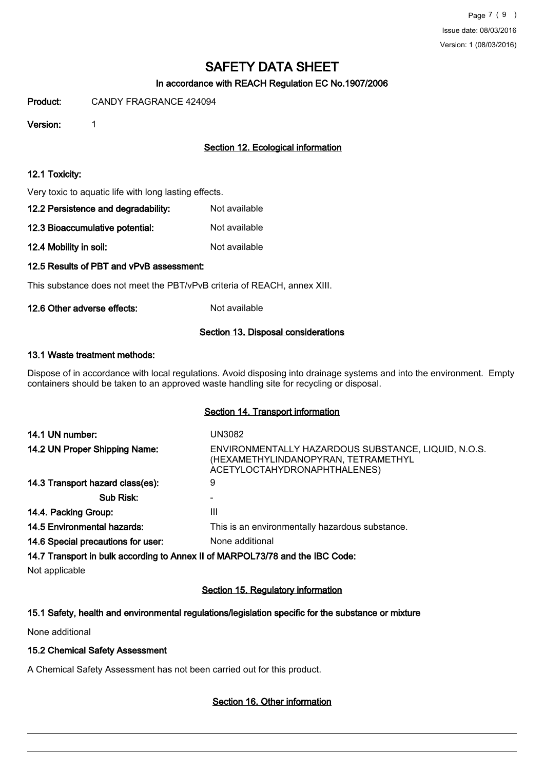# In accordance with REACH Regulation EC No.1907/2006

Product: CANDY FRAGRANCE 424094

Version: 1

# Section 12. Ecological information

### 12.1 Toxicity:

Very toxic to aquatic life with long lasting effects.

| 12.2 Persistence and degradability: | Not available |  |
|-------------------------------------|---------------|--|
|                                     |               |  |

12.3 Bioaccumulative potential: Not available

12.4 Mobility in soil: Not available

# 12.5 Results of PBT and vPvB assessment:

This substance does not meet the PBT/vPvB criteria of REACH, annex XIII.

### 12.6 Other adverse effects: Not available

### Section 13. Disposal considerations

### 13.1 Waste treatment methods:

Dispose of in accordance with local regulations. Avoid disposing into drainage systems and into the environment. Empty containers should be taken to an approved waste handling site for recycling or disposal.

### Section 14. Transport information

| 14.1 UN number:                                                                                                                                                                                                                                                                                                                                                                                                                                              | UN3082                                                                                                                     |
|--------------------------------------------------------------------------------------------------------------------------------------------------------------------------------------------------------------------------------------------------------------------------------------------------------------------------------------------------------------------------------------------------------------------------------------------------------------|----------------------------------------------------------------------------------------------------------------------------|
| 14.2 UN Proper Shipping Name:                                                                                                                                                                                                                                                                                                                                                                                                                                | ENVIRONMENTALLY HAZARDOUS SUBSTANCE, LIQUID, N.O.S.<br>(HEXAMETHYLINDANOPYRAN, TETRAMETHYL<br>ACETYLOCTAHYDRONAPHTHALENES) |
| 14.3 Transport hazard class(es):                                                                                                                                                                                                                                                                                                                                                                                                                             | 9                                                                                                                          |
| Sub Risk:                                                                                                                                                                                                                                                                                                                                                                                                                                                    |                                                                                                                            |
| 14.4. Packing Group:                                                                                                                                                                                                                                                                                                                                                                                                                                         | Ш                                                                                                                          |
| 14.5 Environmental hazards:                                                                                                                                                                                                                                                                                                                                                                                                                                  | This is an environmentally hazardous substance.                                                                            |
| 14.6 Special precautions for user:                                                                                                                                                                                                                                                                                                                                                                                                                           | None additional                                                                                                            |
| $\mathcal{L} \mathcal{L} = \mathcal{L} \mathcal{L} \mathcal{L} \mathcal{L} \mathcal{L} \mathcal{L} \mathcal{L} \mathcal{L} \mathcal{L} \mathcal{L} \mathcal{L} \mathcal{L} \mathcal{L} \mathcal{L} \mathcal{L} \mathcal{L} \mathcal{L} \mathcal{L} \mathcal{L} \mathcal{L} \mathcal{L} \mathcal{L} \mathcal{L} \mathcal{L} \mathcal{L} \mathcal{L} \mathcal{L} \mathcal{L} \mathcal{L} \mathcal{L} \mathcal{L} \mathcal{L} \mathcal{L} \mathcal{L} \mathcal$ |                                                                                                                            |

14.7 Transport in bulk according to Annex II of MARPOL73/78 and the IBC Code:

Not applicable

## Section 15. Regulatory information

# 15.1 Safety, health and environmental regulations/legislation specific for the substance or mixture

None additional

# 15.2 Chemical Safety Assessment

A Chemical Safety Assessment has not been carried out for this product.

# Section 16. Other information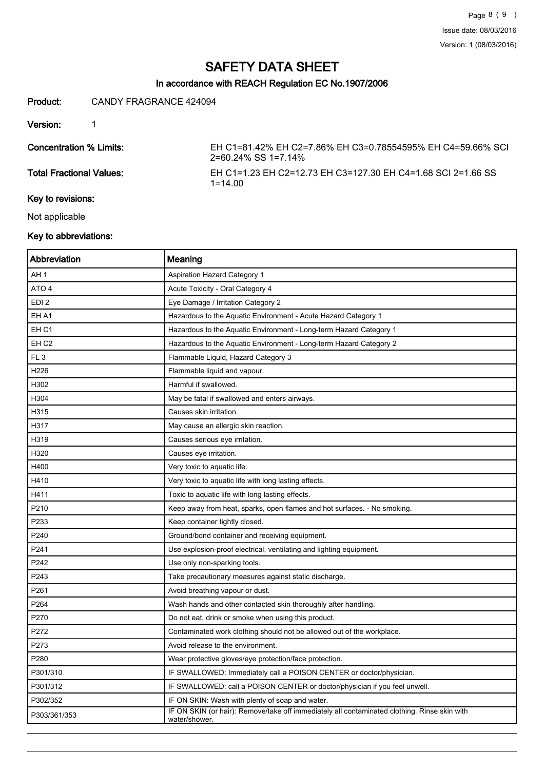# In accordance with REACH Regulation EC No.1907/2006

### Product: CANDY FRAGRANCE 424094

Version: 1

Concentration % Limits: EH C1=81.42% EH C2=7.86% EH C3=0.78554595% EH C4=59.66% SCI 2=60.24% SS 1=7.14%

Total Fractional Values: EH C1=1.23 EH C2=12.73 EH C3=127.30 EH C4=1.68 SCI 2=1.66 SS 1=14.00

# Key to revisions:

Not applicable

# Key to abbreviations:

| Abbreviation     | Meaning                                                                                                       |
|------------------|---------------------------------------------------------------------------------------------------------------|
| AH 1             | <b>Aspiration Hazard Category 1</b>                                                                           |
| ATO 4            | Acute Toxicity - Oral Category 4                                                                              |
| EDI <sub>2</sub> | Eye Damage / Irritation Category 2                                                                            |
| EH A1            | Hazardous to the Aquatic Environment - Acute Hazard Category 1                                                |
| EH <sub>C1</sub> | Hazardous to the Aquatic Environment - Long-term Hazard Category 1                                            |
| EH <sub>C2</sub> | Hazardous to the Aquatic Environment - Long-term Hazard Category 2                                            |
| FL <sub>3</sub>  | Flammable Liquid, Hazard Category 3                                                                           |
| H226             | Flammable liquid and vapour.                                                                                  |
| H302             | Harmful if swallowed.                                                                                         |
| H304             | May be fatal if swallowed and enters airways.                                                                 |
| H315             | Causes skin irritation.                                                                                       |
| H317             | May cause an allergic skin reaction.                                                                          |
| H319             | Causes serious eye irritation.                                                                                |
| H320             | Causes eye irritation.                                                                                        |
| H400             | Very toxic to aquatic life.                                                                                   |
| H410             | Very toxic to aquatic life with long lasting effects.                                                         |
| H411             | Toxic to aquatic life with long lasting effects.                                                              |
| P210             | Keep away from heat, sparks, open flames and hot surfaces. - No smoking.                                      |
| P233             | Keep container tightly closed.                                                                                |
| P240             | Ground/bond container and receiving equipment.                                                                |
| P241             | Use explosion-proof electrical, ventilating and lighting equipment.                                           |
| P242             | Use only non-sparking tools.                                                                                  |
| P243             | Take precautionary measures against static discharge.                                                         |
| P261             | Avoid breathing vapour or dust.                                                                               |
| P264             | Wash hands and other contacted skin thoroughly after handling.                                                |
| P270             | Do not eat, drink or smoke when using this product.                                                           |
| P272             | Contaminated work clothing should not be allowed out of the workplace.                                        |
| P273             | Avoid release to the environment.                                                                             |
| P280             | Wear protective gloves/eye protection/face protection.                                                        |
| P301/310         | IF SWALLOWED: Immediately call a POISON CENTER or doctor/physician.                                           |
| P301/312         | IF SWALLOWED: call a POISON CENTER or doctor/physician if you feel unwell.                                    |
| P302/352         | IF ON SKIN: Wash with plenty of soap and water.                                                               |
| P303/361/353     | IF ON SKIN (or hair): Remove/take off immediately all contaminated clothing. Rinse skin with<br>water/shower. |